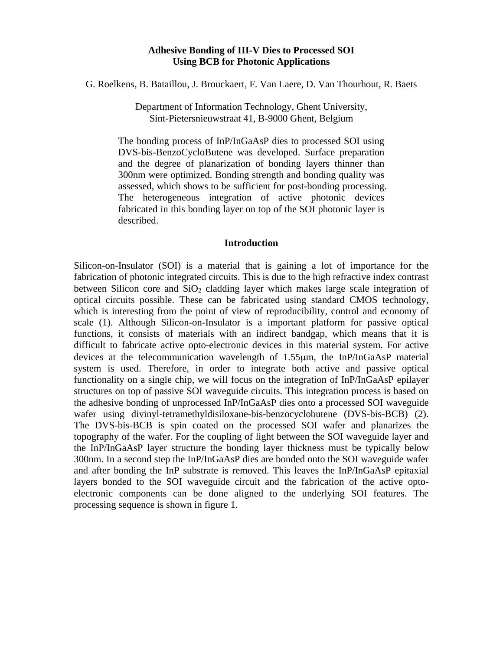# **Adhesive Bonding of III-V Dies to Processed SOI Using BCB for Photonic Applications**

G. Roelkens, B. Bataillou, J. Brouckaert, F. Van Laere, D. Van Thourhout, R. Baets

Department of Information Technology, Ghent University, Sint-Pietersnieuwstraat 41, B-9000 Ghent, Belgium

The bonding process of InP/InGaAsP dies to processed SOI using DVS-bis-BenzoCycloButene was developed. Surface preparation and the degree of planarization of bonding layers thinner than 300nm were optimized. Bonding strength and bonding quality was assessed, which shows to be sufficient for post-bonding processing. The heterogeneous integration of active photonic devices fabricated in this bonding layer on top of the SOI photonic layer is described.

#### **Introduction**

Silicon-on-Insulator (SOI) is a material that is gaining a lot of importance for the fabrication of photonic integrated circuits. This is due to the high refractive index contrast between Silicon core and  $SiO<sub>2</sub>$  cladding layer which makes large scale integration of optical circuits possible. These can be fabricated using standard CMOS technology, which is interesting from the point of view of reproducibility, control and economy of scale (1). Although Silicon-on-Insulator is a important platform for passive optical functions, it consists of materials with an indirect bandgap, which means that it is difficult to fabricate active opto-electronic devices in this material system. For active devices at the telecommunication wavelength of 1.55µm, the InP/InGaAsP material system is used. Therefore, in order to integrate both active and passive optical functionality on a single chip, we will focus on the integration of InP/InGaAsP epilayer structures on top of passive SOI waveguide circuits. This integration process is based on the adhesive bonding of unprocessed InP/InGaAsP dies onto a processed SOI waveguide wafer using divinyl-tetramethyldisiloxane-bis-benzocyclobutene (DVS-bis-BCB) (2). The DVS-bis-BCB is spin coated on the processed SOI wafer and planarizes the topography of the wafer. For the coupling of light between the SOI waveguide layer and the InP/InGaAsP layer structure the bonding layer thickness must be typically below 300nm. In a second step the InP/InGaAsP dies are bonded onto the SOI waveguide wafer and after bonding the InP substrate is removed. This leaves the InP/InGaAsP epitaxial layers bonded to the SOI waveguide circuit and the fabrication of the active optoelectronic components can be done aligned to the underlying SOI features. The processing sequence is shown in figure 1.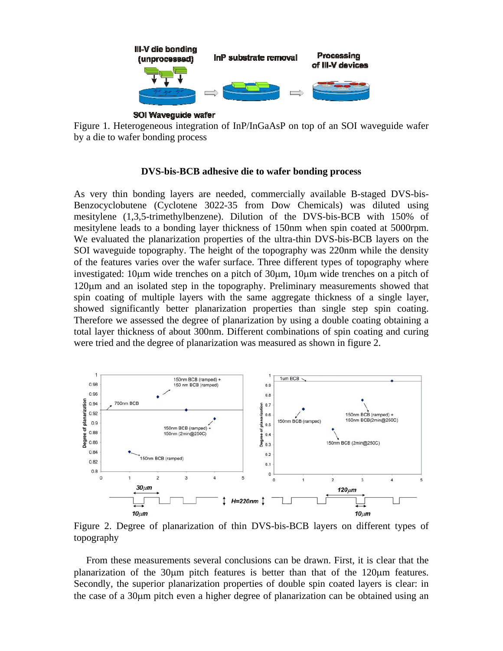

Figure 1. Heterogeneous integration of InP/InGaAsP on top of an SOI waveguide wafer by a die to wafer bonding process

## **DVS-bis-BCB adhesive die to wafer bonding process**

As very thin bonding layers are needed, commercially available B-staged DVS-bis-Benzocyclobutene (Cyclotene 3022-35 from Dow Chemicals) was diluted using mesitylene (1,3,5-trimethylbenzene). Dilution of the DVS-bis-BCB with 150% of mesitylene leads to a bonding layer thickness of 150nm when spin coated at 5000rpm. We evaluated the planarization properties of the ultra-thin DVS-bis-BCB layers on the SOI waveguide topography. The height of the topography was 220nm while the density of the features varies over the wafer surface. Three different types of topography where investigated: 10µm wide trenches on a pitch of 30µm, 10µm wide trenches on a pitch of 120µm and an isolated step in the topography. Preliminary measurements showed that spin coating of multiple layers with the same aggregate thickness of a single layer, showed significantly better planarization properties than single step spin coating. Therefore we assessed the degree of planarization by using a double coating obtaining a total layer thickness of about 300nm. Different combinations of spin coating and curing were tried and the degree of planarization was measured as shown in figure 2.



Figure 2. Degree of planarization of thin DVS-bis-BCB layers on different types of topography

 From these measurements several conclusions can be drawn. First, it is clear that the planarization of the 30µm pitch features is better than that of the 120µm features. Secondly, the superior planarization properties of double spin coated layers is clear: in the case of a 30µm pitch even a higher degree of planarization can be obtained using an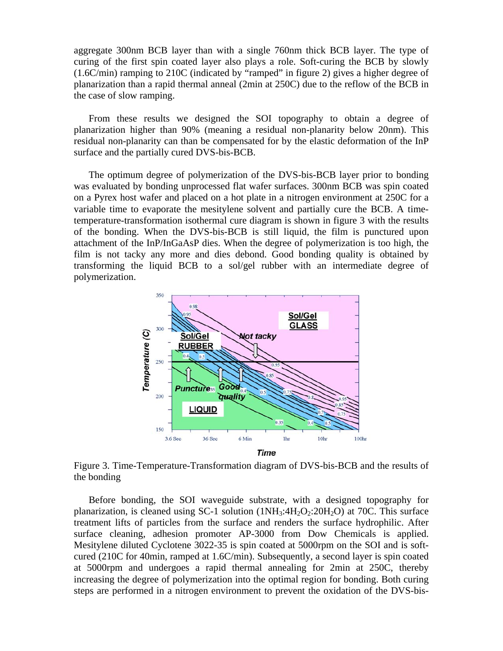aggregate 300nm BCB layer than with a single 760nm thick BCB layer. The type of curing of the first spin coated layer also plays a role. Soft-curing the BCB by slowly (1.6C/min) ramping to 210C (indicated by "ramped" in figure 2) gives a higher degree of planarization than a rapid thermal anneal (2min at 250C) due to the reflow of the BCB in the case of slow ramping.

From these results we designed the SOI topography to obtain a degree of planarization higher than 90% (meaning a residual non-planarity below 20nm). This residual non-planarity can than be compensated for by the elastic deformation of the InP surface and the partially cured DVS-bis-BCB.

The optimum degree of polymerization of the DVS-bis-BCB layer prior to bonding was evaluated by bonding unprocessed flat wafer surfaces. 300nm BCB was spin coated on a Pyrex host wafer and placed on a hot plate in a nitrogen environment at 250C for a variable time to evaporate the mesitylene solvent and partially cure the BCB. A timetemperature-transformation isothermal cure diagram is shown in figure 3 with the results of the bonding. When the DVS-bis-BCB is still liquid, the film is punctured upon attachment of the InP/InGaAsP dies. When the degree of polymerization is too high, the film is not tacky any more and dies debond. Good bonding quality is obtained by transforming the liquid BCB to a sol/gel rubber with an intermediate degree of polymerization.



Figure 3. Time-Temperature-Transformation diagram of DVS-bis-BCB and the results of the bonding

Before bonding, the SOI waveguide substrate, with a designed topography for planarization, is cleaned using SC-1 solution  $(1NH<sub>3</sub>:4H<sub>2</sub>O<sub>2</sub>:20H<sub>2</sub>O)$  at 70C. This surface treatment lifts of particles from the surface and renders the surface hydrophilic. After surface cleaning, adhesion promoter AP-3000 from Dow Chemicals is applied. Mesitylene diluted Cyclotene 3022-35 is spin coated at 5000rpm on the SOI and is softcured (210C for 40min, ramped at 1.6C/min). Subsequently, a second layer is spin coated at 5000rpm and undergoes a rapid thermal annealing for 2min at 250C, thereby increasing the degree of polymerization into the optimal region for bonding. Both curing steps are performed in a nitrogen environment to prevent the oxidation of the DVS-bis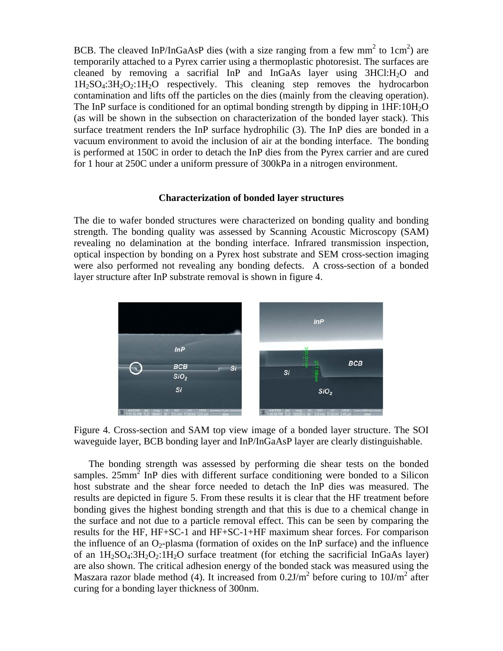BCB. The cleaved InP/InGaAsP dies (with a size ranging from a few mm<sup>2</sup> to  $1 \text{cm}^2$ ) are temporarily attached to a Pyrex carrier using a thermoplastic photoresist. The surfaces are cleaned by removing a sacrifial InP and InGaAs layer using  $3HC1:H<sub>2</sub>O$  and  $1H_2SO_4:3H_2O_2:1H_2O$  respectively. This cleaning step removes the hydrocarbon contamination and lifts off the particles on the dies (mainly from the cleaving operation). The InP surface is conditioned for an optimal bonding strength by dipping in  $1HF:10H<sub>2</sub>O$ (as will be shown in the subsection on characterization of the bonded layer stack). This surface treatment renders the InP surface hydrophilic (3). The InP dies are bonded in a vacuum environment to avoid the inclusion of air at the bonding interface. The bonding is performed at 150C in order to detach the InP dies from the Pyrex carrier and are cured for 1 hour at 250C under a uniform pressure of 300kPa in a nitrogen environment.

## **Characterization of bonded layer structures**

The die to wafer bonded structures were characterized on bonding quality and bonding strength. The bonding quality was assessed by Scanning Acoustic Microscopy (SAM) revealing no delamination at the bonding interface. Infrared transmission inspection, optical inspection by bonding on a Pyrex host substrate and SEM cross-section imaging were also performed not revealing any bonding defects. A cross-section of a bonded layer structure after InP substrate removal is shown in figure 4.



Figure 4. Cross-section and SAM top view image of a bonded layer structure. The SOI waveguide layer, BCB bonding layer and InP/InGaAsP layer are clearly distinguishable.

The bonding strength was assessed by performing die shear tests on the bonded samples.  $25mm^2$  InP dies with different surface conditioning were bonded to a Silicon host substrate and the shear force needed to detach the InP dies was measured. The results are depicted in figure 5. From these results it is clear that the HF treatment before bonding gives the highest bonding strength and that this is due to a chemical change in the surface and not due to a particle removal effect. This can be seen by comparing the results for the HF, HF+SC-1 and HF+SC-1+HF maximum shear forces. For comparison the influence of an  $O_2$ -plasma (formation of oxides on the InP surface) and the influence of an  $1H_2SO_4:3H_2O_2:1H_2O$  surface treatment (for etching the sacrificial InGaAs layer) are also shown. The critical adhesion energy of the bonded stack was measured using the Maszara razor blade method (4). It increased from  $0.2J/m^2$  before curing to  $10J/m^2$  after curing for a bonding layer thickness of 300nm.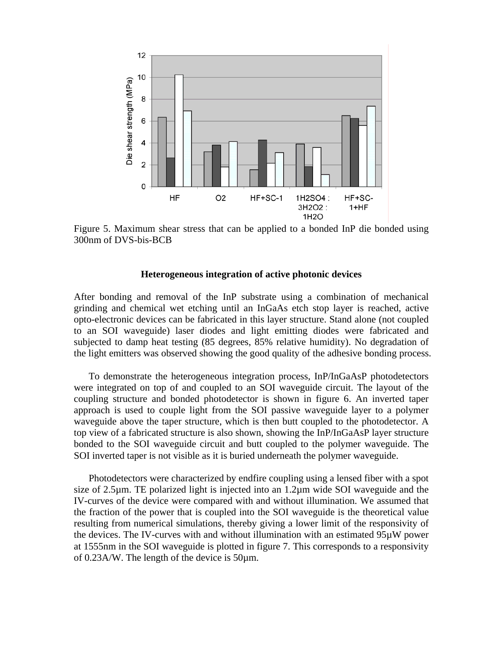

Figure 5. Maximum shear stress that can be applied to a bonded InP die bonded using 300nm of DVS-bis-BCB

### **Heterogeneous integration of active photonic devices**

After bonding and removal of the InP substrate using a combination of mechanical grinding and chemical wet etching until an InGaAs etch stop layer is reached, active opto-electronic devices can be fabricated in this layer structure. Stand alone (not coupled to an SOI waveguide) laser diodes and light emitting diodes were fabricated and subjected to damp heat testing (85 degrees, 85% relative humidity). No degradation of the light emitters was observed showing the good quality of the adhesive bonding process.

To demonstrate the heterogeneous integration process, InP/InGaAsP photodetectors were integrated on top of and coupled to an SOI waveguide circuit. The layout of the coupling structure and bonded photodetector is shown in figure 6. An inverted taper approach is used to couple light from the SOI passive waveguide layer to a polymer waveguide above the taper structure, which is then butt coupled to the photodetector. A top view of a fabricated structure is also shown, showing the InP/InGaAsP layer structure bonded to the SOI waveguide circuit and butt coupled to the polymer waveguide. The SOI inverted taper is not visible as it is buried underneath the polymer waveguide.

Photodetectors were characterized by endfire coupling using a lensed fiber with a spot size of 2.5µm. TE polarized light is injected into an 1.2µm wide SOI waveguide and the IV-curves of the device were compared with and without illumination. We assumed that the fraction of the power that is coupled into the SOI waveguide is the theoretical value resulting from numerical simulations, thereby giving a lower limit of the responsivity of the devices. The IV-curves with and without illumination with an estimated 95µW power at 1555nm in the SOI waveguide is plotted in figure 7. This corresponds to a responsivity of 0.23A/W. The length of the device is 50µm.